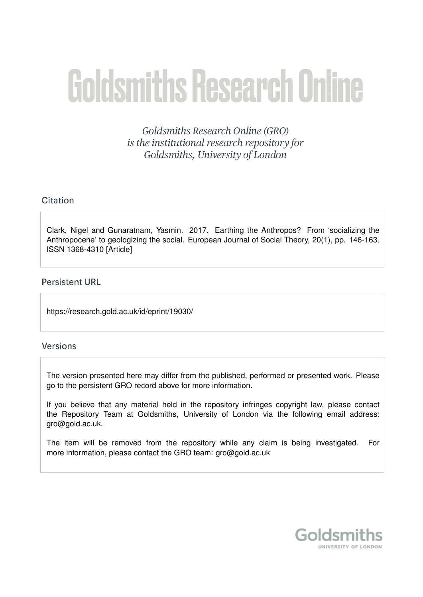# **Goldsmiths Research Online**

Goldsmiths Research Online (GRO) is the institutional research repository for Goldsmiths, University of London

# Citation

Clark, Nigel and Gunaratnam, Yasmin. 2017. Earthing the Anthropos? From 'socializing the Anthropocene' to geologizing the social. European Journal of Social Theory, 20(1), pp. 146-163. ISSN 1368-4310 [Article]

# **Persistent URL**

https://research.gold.ac.uk/id/eprint/19030/

## **Versions**

The version presented here may differ from the published, performed or presented work. Please go to the persistent GRO record above for more information.

If you believe that any material held in the repository infringes copyright law, please contact the Repository Team at Goldsmiths, University of London via the following email address: gro@gold.ac.uk.

The item will be removed from the repository while any claim is being investigated. For more information, please contact the GRO team: gro@gold.ac.uk

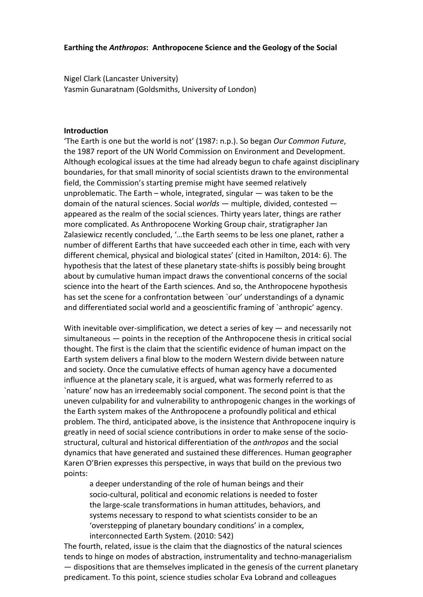Nigel Clark (Lancaster University) Yasmin Gunaratnam (Goldsmiths, University of London)

### **Introduction**

'The Earth is one but the world is not' (1987: n.p.). So began *Our Common Future*, the 1987 report of the UN World Commission on Environment and Development. Although ecological issues at the time had already begun to chafe against disciplinary boundaries, for that small minority of social scientists drawn to the environmental field, the Commission's starting premise might have seemed relatively unproblematic. The Earth – whole, integrated, singular — was taken to be the domain of the natural sciences. Social *worlds* — multiple, divided, contested appeared as the realm of the social sciences. Thirty years later, things are rather more complicated. As Anthropocene Working Group chair, stratigrapher Jan Zalasiewicz recently concluded, '…the Earth seems to be less one planet, rather a number of different Earths that have succeeded each other in time, each with very different chemical, physical and biological states' (cited in Hamilton, 2014: 6). The hypothesis that the latest of these planetary state-shifts is possibly being brought about by cumulative human impact draws the conventional concerns of the social science into the heart of the Earth sciences. And so, the Anthropocene hypothesis has set the scene for a confrontation between 'our' understandings of a dynamic and differentiated social world and a geoscientific framing of `anthropic' agency.

With inevitable over-simplification, we detect a series of key — and necessarily not simultaneous — points in the reception of the Anthropocene thesis in critical social thought. The first is the claim that the scientific evidence of human impact on the Earth system delivers a final blow to the modern Western divide between nature and society. Once the cumulative effects of human agency have a documented influence at the planetary scale, it is argued, what was formerly referred to as `nature' now has an irredeemably social component. The second point is that the uneven culpability for and vulnerability to anthropogenic changes in the workings of the Earth system makes of the Anthropocene a profoundly political and ethical problem. The third, anticipated above, is the insistence that Anthropocene inquiry is greatly in need of social science contributions in order to make sense of the sociostructural, cultural and historical differentiation of the *anthropos* and the social dynamics that have generated and sustained these differences. Human geographer Karen O'Brien expresses this perspective, in ways that build on the previous two points:

a deeper understanding of the role of human beings and their socio-cultural, political and economic relations is needed to foster the large-scale transformations in human attitudes, behaviors, and systems necessary to respond to what scientists consider to be an 'overstepping of planetary boundary conditions' in a complex, interconnected Earth System. (2010: 542)

The fourth, related, issue is the claim that the diagnostics of the natural sciences tends to hinge on modes of abstraction, instrumentality and techno-managerialism — dispositions that are themselves implicated in the genesis of the current planetary predicament. To this point, science studies scholar Eva Lobrand and colleagues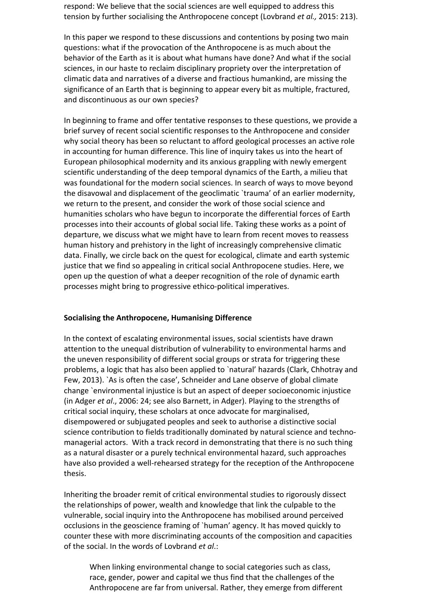respond: We believe that the social sciences are well equipped to address this tension by further socialising the Anthropocene concept (Lovbrand *et al.,* 2015: 213).

In this paper we respond to these discussions and contentions by posing two main questions: what if the provocation of the Anthropocene is as much about the behavior of the Earth as it is about what humans have done? And what if the social sciences, in our haste to reclaim disciplinary propriety over the interpretation of climatic data and narratives of a diverse and fractious humankind, are missing the significance of an Earth that is beginning to appear every bit as multiple, fractured, and discontinuous as our own species?

In beginning to frame and offer tentative responses to these questions, we provide a brief survey of recent social scientific responses to the Anthropocene and consider why social theory has been so reluctant to afford geological processes an active role in accounting for human difference. This line of inquiry takes us into the heart of European philosophical modernity and its anxious grappling with newly emergent scientific understanding of the deep temporal dynamics of the Earth, a milieu that was foundational for the modern social sciences. In search of ways to move beyond the disavowal and displacement of the geoclimatic `trauma' of an earlier modernity, we return to the present, and consider the work of those social science and humanities scholars who have begun to incorporate the differential forces of Earth processes into their accounts of global social life. Taking these works as a point of departure, we discuss what we might have to learn from recent moves to reassess human history and prehistory in the light of increasingly comprehensive climatic data. Finally, we circle back on the quest for ecological, climate and earth systemic justice that we find so appealing in critical social Anthropocene studies. Here, we open up the question of what a deeper recognition of the role of dynamic earth processes might bring to progressive ethico-political imperatives.

### **Socialising the Anthropocene, Humanising Difference**

In the context of escalating environmental issues, social scientists have drawn attention to the unequal distribution of vulnerability to environmental harms and the uneven responsibility of different social groups or strata for triggering these problems, a logic that has also been applied to `natural' hazards (Clark, Chhotray and Few, 2013). `As is often the case', Schneider and Lane observe of global climate change `environmental injustice is but an aspect of deeper socioeconomic injustice (in Adger *et al*., 2006: 24; see also Barnett, in Adger). Playing to the strengths of critical social inquiry, these scholars at once advocate for marginalised, disempowered or subjugated peoples and seek to authorise a distinctive social science contribution to fields traditionally dominated by natural science and technomanagerial actors. With a track record in demonstrating that there is no such thing as a natural disaster or a purely technical environmental hazard, such approaches have also provided a well-rehearsed strategy for the reception of the Anthropocene thesis.

Inheriting the broader remit of critical environmental studies to rigorously dissect the relationships of power, wealth and knowledge that link the culpable to the vulnerable, social inquiry into the Anthropocene has mobilised around perceived occlusions in the geoscience framing of `human' agency. It has moved quickly to counter these with more discriminating accounts of the composition and capacities of the social. In the words of Lovbrand *et al*.:

When linking environmental change to social categories such as class, race, gender, power and capital we thus find that the challenges of the Anthropocene are far from universal. Rather, they emerge from different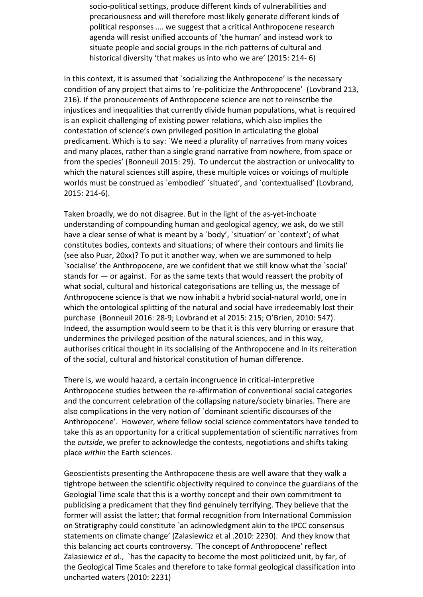socio-political settings, produce different kinds of vulnerabilities and precariousness and will therefore most likely generate different kinds of political responses …. we suggest that a critical Anthropocene research agenda will resist unified accounts of 'the human' and instead work to situate people and social groups in the rich patterns of cultural and historical diversity 'that makes us into who we are' (2015: 214- 6)

In this context, it is assumed that `socializing the Anthropocene' is the necessary condition of any project that aims to `re-politicize the Anthropocene' (Lovbrand 213, 216). If the pronoucements of Anthropocene science are not to reinscribe the injustices and inequalities that currently divide human populations, what is required is an explicit challenging of existing power relations, which also implies the contestation of science's own privileged position in articulating the global predicament. Which is to say: `We need a plurality of narratives from many voices and many places, rather than a single grand narrative from nowhere, from space or from the species' (Bonneuil 2015: 29). To undercut the abstraction or univocality to which the natural sciences still aspire, these multiple voices or voicings of multiple worlds must be construed as `embodied' `situated', and `contextualised' (Lovbrand, 2015: 214-6).

Taken broadly, we do not disagree. But in the light of the as-yet-inchoate understanding of compounding human and geological agency, we ask, do we still have a clear sense of what is meant by a `body', `situation' or `context'; of what constitutes bodies, contexts and situations; of where their contours and limits lie (see also Puar, 20xx)? To put it another way, when we are summoned to help `socialise' the Anthropocene, are we confident that we still know what the `social' stands for — or against. For as the same texts that would reassert the probity of what social, cultural and historical categorisations are telling us, the message of Anthropocene science is that we now inhabit a hybrid social-natural world, one in which the ontological splitting of the natural and social have irredeemably lost their purchase (Bonneuil 2016: 28-9; Lovbrand et al 2015: 215; O'Brien, 2010: 547). Indeed, the assumption would seem to be that it is this very blurring or erasure that undermines the privileged position of the natural sciences, and in this way, authorises critical thought in its socialising of the Anthropocene and in its reiteration of the social, cultural and historical constitution of human difference.

There is, we would hazard, a certain incongruence in critical-interpretive Anthropocene studies between the re-affirmation of conventional social categories and the concurrent celebration of the collapsing nature/society binaries. There are also complications in the very notion of `dominant scientific discourses of the Anthropocene'. However, where fellow social science commentators have tended to take this as an opportunity for a critical supplementation of scientific narratives from the *outside*, we prefer to acknowledge the contests, negotiations and shifts taking place *within* the Earth sciences.

Geoscientists presenting the Anthropocene thesis are well aware that they walk a tightrope between the scientific objectivity required to convince the guardians of the Geologial Time scale that this is a worthy concept and their own commitment to publicising a predicament that they find genuinely terrifying. They believe that the former will assist the latter; that formal recognition from International Commission on Stratigraphy could constitute `an acknowledgment akin to the IPCC consensus statements on climate change' (Zalasiewicz et al .2010: 2230). And they know that this balancing act courts controversy. `The concept of Anthropocene' reflect Zalasiewicz *et a*l., `has the capacity to become the most politicized unit, by far, of the Geological Time Scales and therefore to take formal geological classification into uncharted waters (2010: 2231)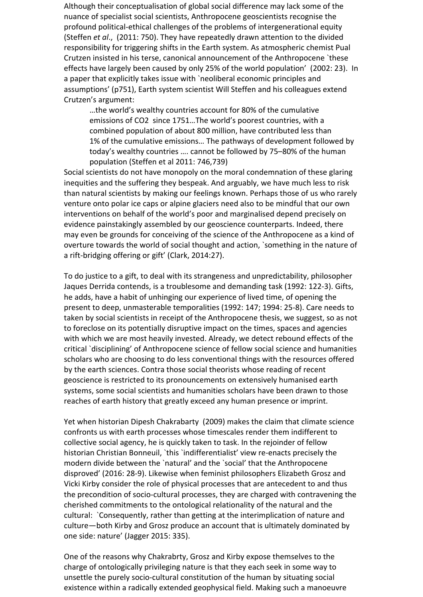Although their conceptualisation of global social difference may lack some of the nuance of specialist social scientists, Anthropocene geoscientists recognise the profound political-ethical challenges of the problems of intergenerational equity (Steffen *et al*., (2011: 750). They have repeatedly drawn attention to the divided responsibility for triggering shifts in the Earth system. As atmospheric chemist Pual Crutzen insisted in his terse, canonical announcement of the Anthropocene `these effects have largely been caused by only 25% of the world population' (2002: 23). In a paper that explicitly takes issue with `neoliberal economic principles and assumptions' (p751), Earth system scientist Will Steffen and his colleagues extend Crutzen's argument:

…the world's wealthy countries account for 80% of the cumulative emissions of CO2 since 1751…The world's poorest countries, with a combined population of about 800 million, have contributed less than 1% of the cumulative emissions… The pathways of development followed by today's wealthy countries …. cannot be followed by 75–80% of the human population (Steffen et al 2011: 746,739)

Social scientists do not have monopoly on the moral condemnation of these glaring inequities and the suffering they bespeak. And arguably, we have much less to risk than natural scientists by making our feelings known. Perhaps those of us who rarely venture onto polar ice caps or alpine glaciers need also to be mindful that our own interventions on behalf of the world's poor and marginalised depend precisely on evidence painstakingly assembled by our geoscience counterparts. Indeed, there may even be grounds for conceiving of the science of the Anthropocene as a kind of overture towards the world of social thought and action, `something in the nature of a rift-bridging offering or gift' (Clark, 2014:27).

To do justice to a gift, to deal with its strangeness and unpredictability, philosopher Jaques Derrida contends, is a troublesome and demanding task (1992: 122-3). Gifts, he adds, have a habit of unhinging our experience of lived time, of opening the present to deep, unmasterable temporalities (1992: 147; 1994: 25-8). Care needs to taken by social scientists in receipt of the Anthropocene thesis, we suggest, so as not to foreclose on its potentially disruptive impact on the times, spaces and agencies with which we are most heavily invested. Already, we detect rebound effects of the critical `disciplining' of Anthropocene science of fellow social science and humanities scholars who are choosing to do less conventional things with the resources offered by the earth sciences. Contra those social theorists whose reading of recent geoscience is restricted to its pronouncements on extensively humanised earth systems, some social scientists and humanities scholars have been drawn to those reaches of earth history that greatly exceed any human presence or imprint.

Yet when historian Dipesh Chakrabarty (2009) makes the claim that climate science confronts us with earth processes whose timescales render them indifferent to collective social agency, he is quickly taken to task. In the rejoinder of fellow historian Christian Bonneuil, `this `indifferentialist' view re-enacts precisely the modern divide between the `natural' and the `social' that the Anthropocene disproved' (2016: 28-9). Likewise when feminist philosophers Elizabeth Grosz and Vicki Kirby consider the role of physical processes that are antecedent to and thus the precondition of socio-cultural processes, they are charged with contravening the cherished commitments to the ontological relationality of the natural and the cultural: `Consequently, rather than getting at the interimplication of nature and culture—both Kirby and Grosz produce an account that is ultimately dominated by one side: nature' (Jagger 2015: 335).

One of the reasons why Chakrabrty, Grosz and Kirby expose themselves to the charge of ontologically privileging nature is that they each seek in some way to unsettle the purely socio-cultural constitution of the human by situating social existence within a radically extended geophysical field. Making such a manoeuvre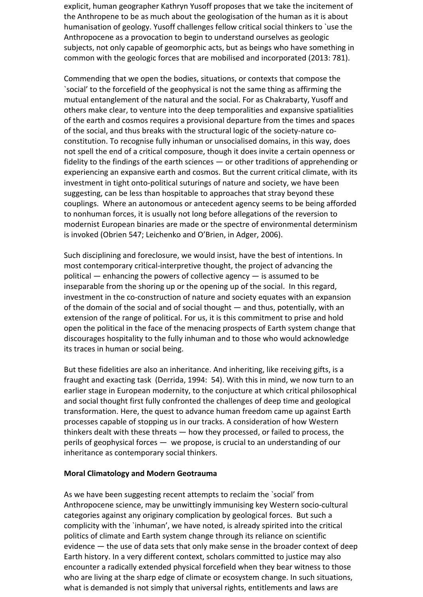explicit, human geographer Kathryn Yusoff proposes that we take the incitement of the Anthropene to be as much about the geologisation of the human as it is about humanisation of geology. Yusoff challenges fellow critical social thinkers to `use the Anthropocene as a provocation to begin to understand ourselves as geologic subjects, not only capable of geomorphic acts, but as beings who have something in common with the geologic forces that are mobilised and incorporated (2013: 781).

Commending that we open the bodies, situations, or contexts that compose the `social' to the forcefield of the geophysical is not the same thing as affirming the mutual entanglement of the natural and the social. For as Chakrabarty, Yusoff and others make clear, to venture into the deep temporalities and expansive spatialities of the earth and cosmos requires a provisional departure from the times and spaces of the social, and thus breaks with the structural logic of the society-nature coconstitution. To recognise fully inhuman or unsocialised domains, in this way, does not spell the end of a critical composure, though it does invite a certain openness or fidelity to the findings of the earth sciences — or other traditions of apprehending or experiencing an expansive earth and cosmos. But the current critical climate, with its investment in tight onto-political suturings of nature and society, we have been suggesting, can be less than hospitable to approaches that stray beyond these couplings. Where an autonomous or antecedent agency seems to be being afforded to nonhuman forces, it is usually not long before allegations of the reversion to modernist European binaries are made or the spectre of environmental determinism is invoked (Obrien 547; Leichenko and O'Brien, in Adger, 2006).

Such disciplining and foreclosure, we would insist, have the best of intentions. In most contemporary critical-interpretive thought, the project of advancing the political — enhancing the powers of collective agency — is assumed to be inseparable from the shoring up or the opening up of the social. In this regard, investment in the co-construction of nature and society equates with an expansion of the domain of the social and of social thought — and thus, potentially, with an extension of the range of political. For us, it is this commitment to prise and hold open the political in the face of the menacing prospects of Earth system change that discourages hospitality to the fully inhuman and to those who would acknowledge its traces in human or social being.

But these fidelities are also an inheritance. And inheriting, like receiving gifts, is a fraught and exacting task (Derrida, 1994: 54). With this in mind, we now turn to an earlier stage in European modernity, to the conjucture at which critical philosophical and social thought first fully confronted the challenges of deep time and geological transformation. Here, the quest to advance human freedom came up against Earth processes capable of stopping us in our tracks. A consideration of how Western thinkers dealt with these threats — how they processed, or failed to process, the perils of geophysical forces — we propose, is crucial to an understanding of our inheritance as contemporary social thinkers.

### **Moral Climatology and Modern Geotrauma**

As we have been suggesting recent attempts to reclaim the `social' from Anthropocene science, may be unwittingly immunising key Western socio-cultural categories against any originary complication by geological forces. But such a complicity with the `inhuman', we have noted, is already spirited into the critical politics of climate and Earth system change through its reliance on scientific evidence — the use of data sets that only make sense in the broader context of deep Earth history. In a very different context, scholars committed to justice may also encounter a radically extended physical forcefield when they bear witness to those who are living at the sharp edge of climate or ecosystem change. In such situations, what is demanded is not simply that universal rights, entitlements and laws are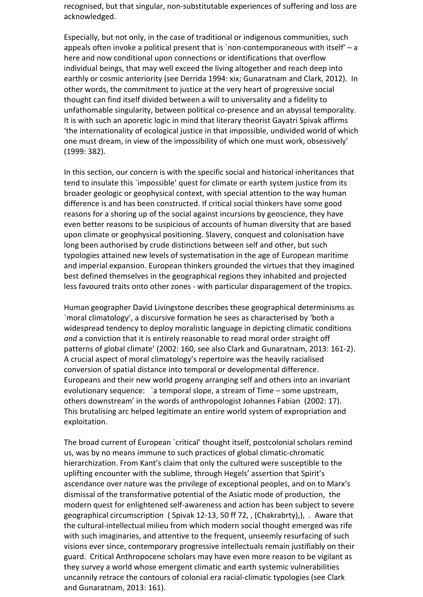recognised, but that singular, non-substitutable experiences of suffering and loss are acknowledged.

Especially, but not only, in the case of traditional or indigenous communities, such appeals often invoke a political present that is `non-contemporaneous with itself' – a here and now conditional upon connections or identifications that overflow individual beings, that may well exceed the living altogether and reach deep into earthly or cosmic anteriority (see Derrida 1994: xix; Gunaratnam and Clark, 2012). In other words, the commitment to justice at the very heart of progressive social thought can find itself divided between a will to universality and a fidelity to unfathomable singularity, between political co-presence and an abyssal temporality. It is with such an aporetic logic in mind that literary theorist Gayatri Spivak affirms 'the internationality of ecological justice in that impossible, undivided world of which one must dream, in view of the impossibility of which one must work, obsessively' (1999: 382).

In this section, our concern is with the specific social and historical inheritances that tend to insulate this `impossible' quest for climate or earth system justice from its broader geologic or geophysical context, with special attention to the way human difference is and has been constructed. If critical social thinkers have some good reasons for a shoring up of the social against incursions by geoscience, they have even better reasons to be suspicious of accounts of human diversity that are based upon climate or geophysical positioning. Slavery, conquest and colonisation have long been authorised by crude distinctions between self and other, but such typologies attained new levels of systematisation in the age of European maritime and imperial expansion. European thinkers grounded the virtues that they imagined best defined themselves in the geographical regions they inhabited and projected less favoured traits onto other zones - with particular disparagement of the tropics.

Human geographer David Livingstone describes these geographical determinisms as `moral climatology', a discursive formation he sees as characterised by 'both a widespread tendency to deploy moralistic language in depicting climatic conditions *and* a conviction that it is entirely reasonable to read moral order straight off patterns of global climate' (2002: 160, see also Clark and Gunaratnam, 2013: 161-2). A crucial aspect of moral climatology's repertoire was the heavily racialised conversion of spatial distance into temporal or developmental difference. Europeans and their new world progeny arranging self and others into an invariant evolutionary sequence: `a temporal slope, a stream of Time – some upstream, others downstream' in the words of anthropologist Johannes Fabian (2002: 17). This brutalising arc helped legitimate an entire world system of expropriation and exploitation.

The broad current of European `critical' thought itself, postcolonial scholars remind us, was by no means immune to such practices of global climatic-chromatic hierarchization. From Kant's claim that only the cultured were susceptible to the uplifting encounter with the sublime, through Hegels' assertion that Spirit's ascendance over nature was the privilege of exceptional peoples, and on to Marx's dismissal of the transformative potential of the Asiatic mode of production, the modern quest for enlightened self-awareness and action has been subject to severe geographical circumscription ( Spivak 12-13, 50 ff 72, , (Chakrabrty),), . Aware that the cultural-intellectual milieu from which modern social thought emerged was rife with such imaginaries, and attentive to the frequent, unseemly resurfacing of such visions ever since, contemporary progressive intellectuals remain justifiably on their guard. Critical Anthropocene scholars may have even more reason to be vigilant as they survey a world whose emergent climatic and earth systemic vulnerabilities uncannily retrace the contours of colonial era racial-climatic typologies (see Clark and Gunaratnam, 2013: 161).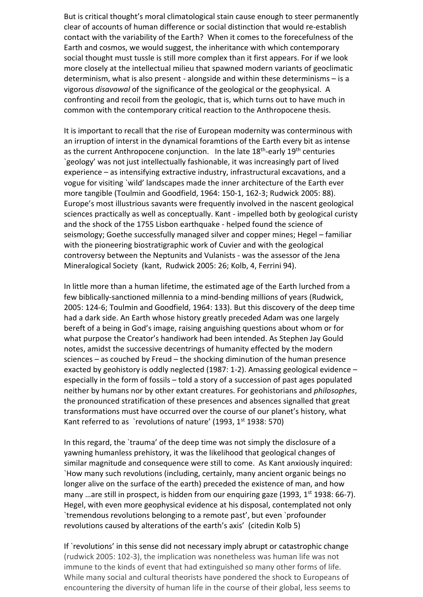But is critical thought's moral climatological stain cause enough to steer permanently clear of accounts of human difference or social distinction that would re-establish contact with the variability of the Earth? When it comes to the forecefulness of the Earth and cosmos, we would suggest, the inheritance with which contemporary social thought must tussle is still more complex than it first appears. For if we look more closely at the intellectual milieu that spawned modern variants of geoclimatic determinism, what is also present - alongside and within these determinisms – is a vigorous *disavowal* of the significance of the geological or the geophysical. A confronting and recoil from the geologic, that is, which turns out to have much in common with the contemporary critical reaction to the Anthropocene thesis.

It is important to recall that the rise of European modernity was conterminous with an irruption of interst in the dynamical foramtions of the Earth every bit as intense as the current Anthropocene conjunction. In the late 18<sup>th</sup>-early 19<sup>th</sup> centuries `geology' was not just intellectually fashionable, it was increasingly part of lived experience – as intensifying extractive industry, infrastructural excavations, and a vogue for visiting `wild' landscapes made the inner architecture of the Earth ever more tangible (Toulmin and Goodfield, 1964: 150-1, 162-3; Rudwick 2005: 88). Europe's most illustrious savants were frequently involved in the nascent geological sciences practically as well as conceptually. Kant - impelled both by geological curisty and the shock of the 1755 Lisbon earthquake - helped found the science of seismology; Goethe successfully managed silver and copper mines; Hegel – familiar with the pioneering biostratigraphic work of Cuvier and with the geological controversy between the Neptunits and Vulanists - was the assessor of the Jena Mineralogical Society (kant, Rudwick 2005: 26; Kolb, 4, Ferrini 94).

In little more than a human lifetime, the estimated age of the Earth lurched from a few biblically-sanctioned millennia to a mind-bending millions of years (Rudwick, 2005: 124-6; Toulmin and Goodfield, 1964: 133). But this discovery of the deep time had a dark side. An Earth whose history greatly preceded Adam was one largely bereft of a being in God's image, raising anguishing questions about whom or for what purpose the Creator's handiwork had been intended. As Stephen Jay Gould notes, amidst the successive decentrings of humanity effected by the modern sciences – as couched by Freud – the shocking diminution of the human presence exacted by geohistory is oddly neglected (1987: 1-2). Amassing geological evidence – especially in the form of fossils – told a story of a succession of past ages populated neither by humans nor by other extant creatures. For geohistorians and *philosophes*, the pronounced stratification of these presences and absences signalled that great transformations must have occurred over the course of our planet's history, what Kant referred to as `revolutions of nature' (1993,  $1<sup>st</sup>$  1938: 570)

In this regard, the `trauma' of the deep time was not simply the disclosure of a yawning humanless prehistory, it was the likelihood that geological changes of similar magnitude and consequence were still to come. As Kant anxiously inquired: `How many such revolutions (including, certainly, many ancient organic beings no longer alive on the surface of the earth) preceded the existence of man, and how many ... are still in prospect, is hidden from our enquiring gaze (1993, 1<sup>st</sup> 1938: 66-7). Hegel, with even more geophysical evidence at his disposal, contemplated not only `tremendous revolutions belonging to a remote past', but even `profounder revolutions caused by alterations of the earth's axis' (citedin Kolb 5)

If `revolutions' in this sense did not necessary imply abrupt or catastrophic change (rudwick 2005: 102-3), the implication was nonetheless was human life was not immune to the kinds of event that had extinguished so many other forms of life. While many social and cultural theorists have pondered the shock to Europeans of encountering the diversity of human life in the course of their global, less seems to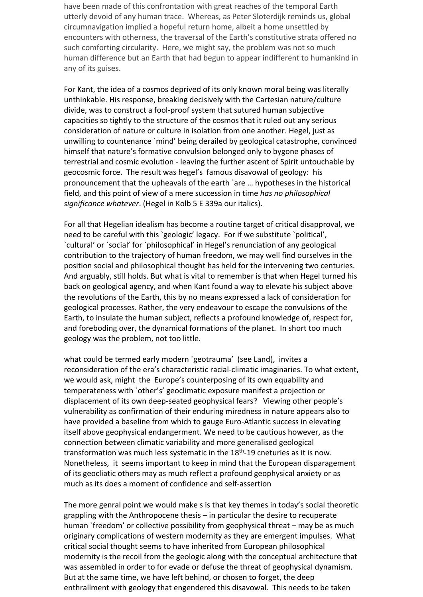have been made of this confrontation with great reaches of the temporal Earth utterly devoid of any human trace. Whereas, as Peter Sloterdijk reminds us, global circumnavigation implied a hopeful return home, albeit a home unsettled by encounters with otherness, the traversal of the Earth's constitutive strata offered no such comforting circularity. Here, we might say, the problem was not so much human difference but an Earth that had begun to appear indifferent to humankind in any of its guises.

For Kant, the idea of a cosmos deprived of its only known moral being was literally unthinkable. His response, breaking decisively with the Cartesian nature/culture divide, was to construct a fool-proof system that sutured human subjective capacities so tightly to the structure of the cosmos that it ruled out any serious consideration of nature or culture in isolation from one another. Hegel, just as unwilling to countenance `mind' being derailed by geological catastrophe, convinced himself that nature's formative convulsion belonged only to bygone phases of terrestrial and cosmic evolution - leaving the further ascent of Spirit untouchable by geocosmic force. The result was hegel's famous disavowal of geology: his pronouncement that the upheavals of the earth `are … hypotheses in the historical field, and this point of view of a mere succession in time *has no philosophical significance whatever*. (Hegel in Kolb 5 E 339a our italics).

For all that Hegelian idealism has become a routine target of critical disapproval, we need to be careful with this `geologic' legacy. For if we substitute `political', `cultural' or `social' for `philosophical' in Hegel's renunciation of any geological contribution to the trajectory of human freedom, we may well find ourselves in the position social and philosophical thought has held for the intervening two centuries. And arguably, still holds. But what is vital to remember is that when Hegel turned his back on geological agency, and when Kant found a way to elevate his subject above the revolutions of the Earth, this by no means expressed a lack of consideration for geological processes. Rather, the very endeavour to escape the convulsions of the Earth, to insulate the human subject, reflects a profound knowledge of, respect for, and foreboding over, the dynamical formations of the planet. In short too much geology was the problem, not too little.

what could be termed early modern `geotrauma' (see Land), invites a reconsideration of the era's characteristic racial-climatic imaginaries. To what extent, we would ask, might the Europe's counterposing of its own equability and temperateness with `other's' geoclimatic exposure manifest a projection or displacement of its own deep-seated geophysical fears? Viewing other people's vulnerability as confirmation of their enduring miredness in nature appears also to have provided a baseline from which to gauge Euro-Atlantic success in elevating itself above geophysical endangerment. We need to be cautious however, as the connection between climatic variability and more generalised geological transformation was much less systematic in the 18<sup>th</sup>-19 cneturies as it is now. Nonetheless, it seems important to keep in mind that the European disparagement of its geocliatic others may as much reflect a profound geophysical anxiety or as much as its does a moment of confidence and self-assertion

The more genral point we would make s is that key themes in today's social theoretic grappling with the Anthropocene thesis – in particular the desire to recuperate human `freedom' or collective possibility from geophysical threat – may be as much originary complications of western modernity as they are emergent impulses. What critical social thought seems to have inherited from European philosophical modernity is the recoil from the geologic along with the conceptual architecture that was assembled in order to for evade or defuse the threat of geophysical dynamism. But at the same time, we have left behind, or chosen to forget, the deep enthrallment with geology that engendered this disavowal. This needs to be taken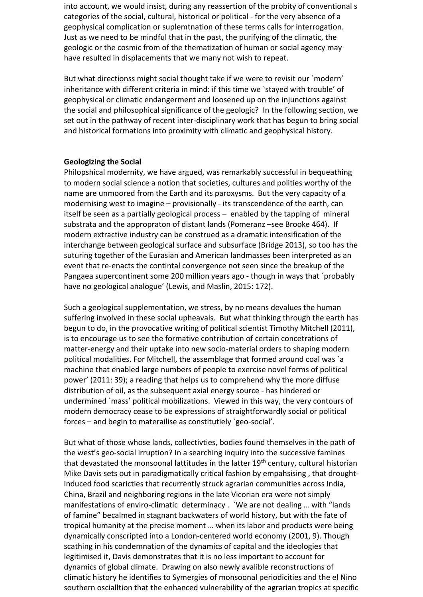into account, we would insist, during any reassertion of the probity of conventional s categories of the social, cultural, historical or political - for the very absence of a geophysical complication or suplemtnation of these terms calls for interrogation. Just as we need to be mindful that in the past, the purifying of the climatic, the geologic or the cosmic from of the thematization of human or social agency may have resulted in displacements that we many not wish to repeat.

But what directionss might social thought take if we were to revisit our `modern' inheritance with different criteria in mind: if this time we `stayed with trouble' of geophysical or climatic endangerment and loosened up on the injunctions against the social and philosophical significance of the geologic? In the following section, we set out in the pathway of recent inter-disciplinary work that has begun to bring social and historical formations into proximity with climatic and geophysical history.

### **Geologizing the Social**

Philopshical modernity, we have argued, was remarkably successful in bequeathing to modern social science a notion that societies, cultures and polities worthy of the name are unmoored from the Earth and its paroxysms. But the very capacity of a modernising west to imagine – provisionally - its transcendence of the earth, can itself be seen as a partially geological process – enabled by the tapping of mineral substrata and the appropraton of distant lands (Pomeranz –see Brooke 464). If modern extractive industry can be construed as a dramatic intensification of the interchange between geological surface and subsurface (Bridge 2013), so too has the suturing together of the Eurasian and American landmasses been interpreted as an event that re-enacts the contintal convergence not seen since the breakup of the Pangaea supercontinent some 200 million years ago - though in ways that `probably have no geological analogue' (Lewis, and Maslin, 2015: 172).

Such a geological supplementation, we stress, by no means devalues the human suffering involved in these social upheavals. But what thinking through the earth has begun to do, in the provocative writing of political scientist Timothy Mitchell (2011), is to encourage us to see the formative contribution of certain concetrations of matter-energy and their uptake into new socio-material orders to shaping modern political modalities. For Mitchell, the assemblage that formed around coal was `a machine that enabled large numbers of people to exercise novel forms of political power' (2011: 39); a reading that helps us to comprehend why the more diffuse distribution of oil, as the subsequent axial energy source - has hindered or undermined `mass' political mobilizations. Viewed in this way, the very contours of modern democracy cease to be expressions of straightforwardly social or political forces – and begin to materailise as constitutiely `geo-social'.

But what of those whose lands, collectivties, bodies found themselves in the path of the west's geo-social irruption? In a searching inquiry into the successive famines that devastated the monsoonal lattitudes in the latter  $19<sup>th</sup>$  century, cultural historian Mike Davis sets out in paradigmatically critical fashion by empahsising , that droughtinduced food scaricties that recurrently struck agrarian communities across India, China, Brazil and neighboring regions in the late Vicorian era were not simply manifestations of enviro-climatic determinacy . `We are not dealing … with "lands of famine" becalmed in stagnant backwaters of world history, but with the fate of tropical humanity at the precise moment … when its labor and products were being dynamically conscripted into a London-centered world economy (2001, 9). Though scathing in his condemnation of the dynamics of capital and the ideologies that legitimised it, Davis demonstrates that it is no less important to account for dynamics of global climate. Drawing on also newly avalible reconstructions of climatic history he identifies to Symergies of monsoonal periodicities and the el Nino southern oscialltion that the enhanced vulnerability of the agrarian tropics at specific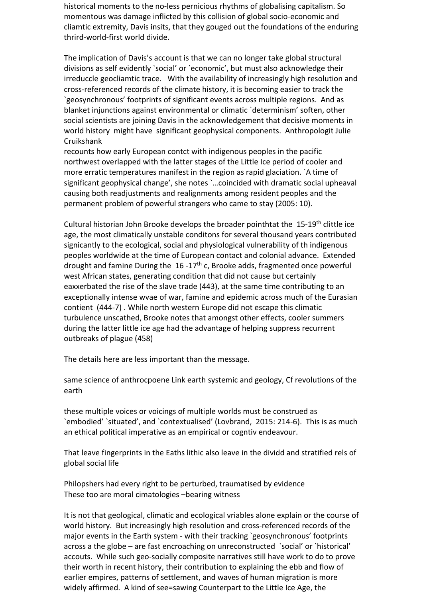historical moments to the no-less pernicious rhythms of globalising capitalism. So momentous was damage inflicted by this collision of global socio-economic and cliamtic extremity, Davis insits, that they gouged out the foundations of the enduring thrird-world-first world divide.

The implication of Davis's account is that we can no longer take global structural divisions as self evidently `social' or `economic', but must also acknowledge their irreduccle geocliamtic trace. With the availability of increasingly high resolution and cross-referenced records of the climate history, it is becoming easier to track the `geosynchronous' footprints of significant events across multiple regions. And as blanket injunctions against environmental or climatic `determinism' soften, other social scientists are joining Davis in the acknowledgement that decisive moments in world history might have significant geophysical components. Anthropologit Julie Cruikshank

recounts how early European contct with indigenous peoples in the pacific northwest overlapped with the latter stages of the Little Ice period of cooler and more erratic temperatures manifest in the region as rapid glaciation. `A time of significant geophysical change', she notes `…coincided with dramatic social upheaval causing both readjustments and realignments among resident peoples and the permanent problem of powerful strangers who came to stay (2005: 10).

Cultural historian John Brooke develops the broader pointhtat the 15-19<sup>th</sup> clittle ice age, the most climatically unstable conditons for several thousand years contributed signicantly to the ecological, social and physiological vulnerability of th indigenous peoples worldwide at the time of European contact and colonial advance. Extended drought and famine During the  $16 - 17$ <sup>th</sup> c, Brooke adds, fragmented once powerful west African states, generating condition that did not cause but certainly eaxxerbated the rise of the slave trade (443), at the same time contributing to an exceptionally intense wvae of war, famine and epidemic across much of the Eurasian contient (444-7) . While north western Europe did not escape this climatic turbulence unscathed, Brooke notes that amongst other effects, cooler summers during the latter little ice age had the advantage of helping suppress recurrent outbreaks of plague (458)

The details here are less important than the message.

same science of anthrocpoene Link earth systemic and geology, Cf revolutions of the earth

these multiple voices or voicings of multiple worlds must be construed as `embodied' `situated', and `contextualised' (Lovbrand, 2015: 214-6). This is as much an ethical political imperative as an empirical or cogntiv endeavour.

That leave fingerprints in the Eaths lithic also leave in the dividd and stratified rels of global social life

Philopshers had every right to be perturbed, traumatised by evidence These too are moral cimatologies –bearing witness

It is not that geological, climatic and ecological vriables alone explain or the course of world history. But increasingly high resolution and cross-referenced records of the major events in the Earth system - with their tracking `geosynchronous' footprints across a the globe – are fast encroaching on unreconstructed `social' or `historical' accouts. While such geo-socially composite narratives still have work to do to prove their worth in recent history, their contribution to explaining the ebb and flow of earlier empires, patterns of settlement, and waves of human migration is more widely affirmed. A kind of see=sawing Counterpart to the Little Ice Age, the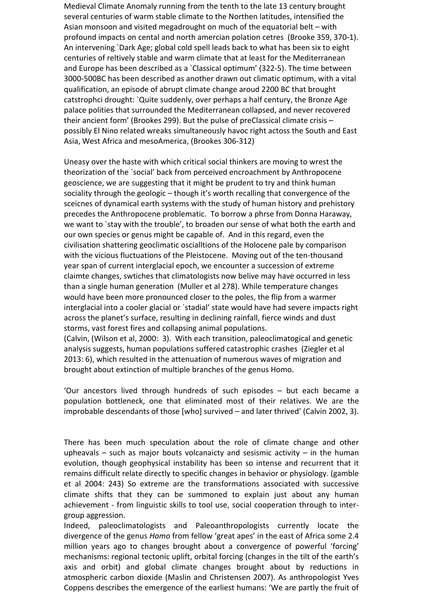Medieval Climate Anomaly running from the tenth to the late 13 century brought several centuries of warm stable climate to the Northen latitudes, intensified the Asian monsoon and visited megadrought on much of the equatorial belt – with profound impacts on cental and north amercian polation cetres (Brooke 359, 370-1). An intervening `Dark Age; global cold spell leads back to what has been six to eight centuries of reltively stable and warm climate that at least for the Mediterranean and Europe has been described as a `Classical optimum' (322-5). The time between 3000-500BC has been described as another drawn out climatic optimum, with a vital qualification, an episode of abrupt climate change aroud 2200 BC that brought catstrophci drought: `Quite suddenly, over perhaps a half century, the Bronze Age palace polities that surrounded the Mediterranean collapsed, and never recovered their ancient form' (Brookes 299). But the pulse of preClassical climate crisis – possibly El Nino related wreaks simultaneously havoc right actoss the South and East Asia, West Africa and mesoAmerica, (Brookes 306-312)

Uneasy over the haste with which critical social thinkers are moving to wrest the theorization of the `social' back from perceived encroachment by Anthropocene geoscience, we are suggesting that it might be prudent to try and think human sociality through the geologic – though it's worth recalling that convergence of the sceicnes of dynamical earth systems with the study of human history and prehistory precedes the Anthropocene problematic. To borrow a phrse from Donna Haraway, we want to `stay with the trouble', to broaden our sense of what both the earth and our own species or genus might be capable of. And in this regard, even the civilisation shattering geoclimatic oscialltions of the Holocene pale by comparison with the vicious fluctuations of the Pleistocene. Moving out of the ten-thousand year span of current interglacial epoch, we encounter a succession of extreme claimte changes, swtiches that climatologists now belive may have occurred in less than a single human generation (Muller et al 278). While temperature changes would have been more pronounced closer to the poles, the flip from a warmer interglacial into a cooler glacial or `stadial' state would have had severe impacts right across the planet's surface, resulting in declining rainfall, fierce winds and dust storms, vast forest fires and collapsing animal populations.

(Calvin, (Wilson et al, 2000: 3). With each transition, paleoclimatogical and genetic analysis suggests, human populations suffered catastrophic crashes (Ziegler et al 2013: 6), which resulted in the attenuation of numerous waves of migration and brought about extinction of multiple branches of the genus Homo.

'Our ancestors lived through hundreds of such episodes – but each became a population bottleneck, one that eliminated most of their relatives. We are the improbable descendants of those [who] survived – and later thrived' (Calvin 2002, 3).

There has been much speculation about the role of climate change and other upheavals – such as major bouts volcanaicty and sesismic activity – in the human evolution, though geophysical instability has been so intense and recurrent that it remains difficult relate directly to specific changes in behavior or physiology. (gamble et al 2004: 243) So extreme are the transformations associated with successive climate shifts that they can be summoned to explain just about any human achievement - from linguistic skills to tool use, social cooperation through to intergroup aggression.

Indeed, paleoclimatologists and Paleoanthropologists currently locate the divergence of the genus *Homo* from fellow 'great apes' in the east of Africa some 2.4 million years ago to changes brought about a convergence of powerful 'forcing' mechanisms: regional tectonic uplift, orbital forcing (changes in the tilt of the earth's axis and orbit) and global climate changes brought about by reductions in atmospheric carbon dioxide (Maslin and Christensen 2007). As anthropologist Yves Coppens describes the emergence of the earliest humans: 'We are partly the fruit of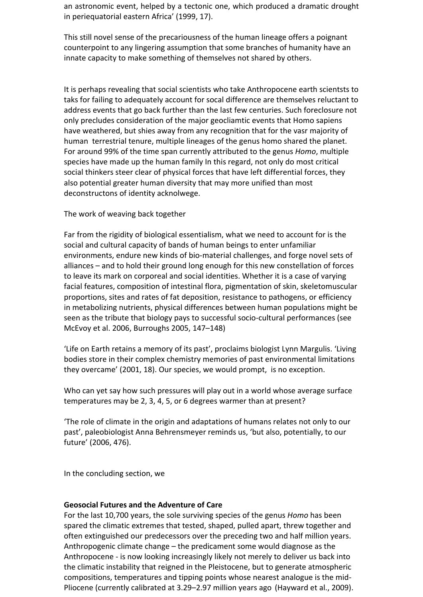an astronomic event, helped by a tectonic one, which produced a dramatic drought in periequatorial eastern Africa' (1999, 17).

This still novel sense of the precariousness of the human lineage offers a poignant counterpoint to any lingering assumption that some branches of humanity have an innate capacity to make something of themselves not shared by others.

It is perhaps revealing that social scientists who take Anthropocene earth scientsts to taks for failing to adequately account for socal difference are themselves reluctant to address events that go back further than the last few centuries. Such foreclosure not only precludes consideration of the major geocliamtic events that Homo sapiens have weathered, but shies away from any recognition that for the vasr majority of human terrestrial tenure, multiple lineages of the genus homo shared the planet. For around 99% of the time span currently attributed to the genus *Homo*, multiple species have made up the human family In this regard, not only do most critical social thinkers steer clear of physical forces that have left differential forces, they also potential greater human diversity that may more unified than most deconstructons of identity acknolwege.

The work of weaving back together

Far from the rigidity of biological essentialism, what we need to account for is the social and cultural capacity of bands of human beings to enter unfamiliar environments, endure new kinds of bio-material challenges, and forge novel sets of alliances – and to hold their ground long enough for this new constellation of forces to leave its mark on corporeal and social identities. Whether it is a case of varying facial features, composition of intestinal flora, pigmentation of skin, skeletomuscular proportions, sites and rates of fat deposition, resistance to pathogens, or efficiency in metabolizing nutrients, physical differences between human populations might be seen as the tribute that biology pays to successful socio-cultural performances (see McEvoy et al. 2006, Burroughs 2005, 147–148)

'Life on Earth retains a memory of its past', proclaims biologist Lynn Margulis. 'Living bodies store in their complex chemistry memories of past environmental limitations they overcame' (2001, 18). Our species, we would prompt, is no exception.

Who can yet say how such pressures will play out in a world whose average surface temperatures may be 2, 3, 4, 5, or 6 degrees warmer than at present?

'The role of climate in the origin and adaptations of humans relates not only to our past', paleobiologist Anna Behrensmeyer reminds us, 'but also, potentially, to our future' (2006, 476).

In the concluding section, we

### **Geosocial Futures and the Adventure of Care**

For the last 10,700 years, the sole surviving species of the genus *Homo* has been spared the climatic extremes that tested, shaped, pulled apart, threw together and often extinguished our predecessors over the preceding two and half million years. Anthropogenic climate change – the predicament some would diagnose as the Anthropocene - is now looking increasingly likely not merely to deliver us back into the climatic instability that reigned in the Pleistocene, but to generate atmospheric compositions, temperatures and tipping points whose nearest analogue is the mid-Pliocene (currently calibrated at 3.29–2.97 million years ago (Hayward et al., 2009).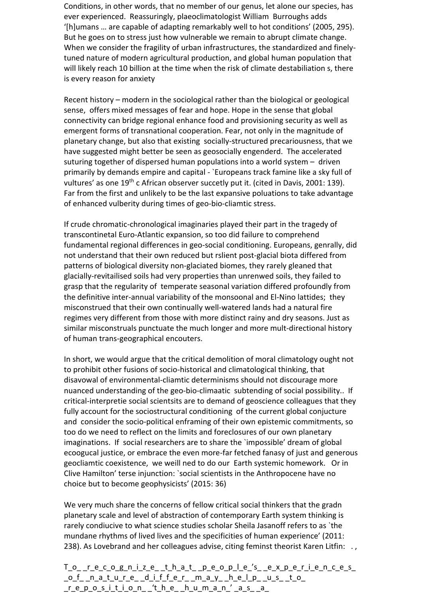Conditions, in other words, that no member of our genus, let alone our species, has ever experienced. Reassuringly, plaeoclimatologist William Burroughs adds '[h]umans … are capable of adapting remarkably well to hot conditions' (2005, 295). But he goes on to stress just how vulnerable we remain to abrupt climate change. When we consider the fragility of urban infrastructures, the standardized and finelytuned nature of modern agricultural production, and global human population that will likely reach 10 billion at the time when the risk of climate destabiliation s, there is every reason for anxiety

Recent history – modern in the sociological rather than the biological or geological sense, offers mixed messages of fear and hope. Hope in the sense that global connectivity can bridge regional enhance food and provisioning security as well as emergent forms of transnational cooperation. Fear, not only in the magnitude of planetary change, but also that existing socially-structured precariousness, that we have suggested might better be seen as geosocially engenderd. The accelerated suturing together of dispersed human populations into a world system – driven primarily by demands empire and capital - `Europeans track famine like a sky full of vultures' as one 19<sup>th</sup> c African observer succetly put it. (cited in Davis, 2001: 139). Far from the first and unlikely to be the last expansive poluations to take advantage of enhanced vulberity during times of geo-bio-cliamtic stress.

If crude chromatic-chronological imaginaries played their part in the tragedy of transcontinetal Euro-Atlantic expansion, so too did failure to comprehend fundamental regional differences in geo-social conditioning. Europeans, genrally, did not understand that their own reduced but rslient post-glacial biota differed from patterns of biological diversity non-glaciated biomes, they rarely gleaned that glacially-revitailised soils had very properties than unrenwed soils, they failed to grasp that the regularity of temperate seasonal variation differed profoundly from the definitive inter-annual variability of the monsoonal and El-Nino lattides; they misconstrued that their own continually well-watered lands had a natural fire regimes very different from those with more distinct rainy and dry seasons. Just as similar misconstruals punctuate the much longer and more mult-directional history of human trans-geographical encouters.

In short, we would argue that the critical demolition of moral climatology ought not to prohibit other fusions of socio-historical and climatological thinking, that disavowal of environmental-cliamtic determinisms should not discourage more nuanced understanding of the geo-bio-climaatic subtending of social possibility.. If critical-interpretie social scientsits are to demand of geoscience colleagues that they fully account for the sociostructural conditioning of the current global conjucture and consider the socio-political enframing of their own epistemic commitments, so too do we need to reflect on the limits and foreclosures of our own planetary imaginations. If social researchers are to share the `impossible' dream of global ecoogucal justice, or embrace the even more-far fetched fanasy of just and generous geocliamtic coexistence, we weill ned to do our Earth systemic homework. Or in Clive Hamilton' terse injunction: `social scientists in the Anthropocene have no choice but to become geophysicists' (2015: 36)

We very much share the concerns of fellow critical social thinkers that the gradn planetary scale and level of abstraction of contemporary Earth system thinking is rarely condiucive to what science studies scholar Sheila Jasanoff refers to as `the mundane rhythms of lived lives and the specificities of human experience' (2011: 238). As Lovebrand and her colleagues advise, citing feminst theorist Karen Litfin: .,

T\_o\_rec\_og\_n\_ize\_t\_h\_at\_pe\_o\_p\_le\_'s\_e\_x\_periences\_  $_0$  f\_n\_a\_t\_u\_re\_d\_iffer\_m\_a\_y\_help\_u\_s\_to\_  $\label{eq:repos} \begin{array}{lll} \mathsf{r} \ \mathsf{e} \ \mathsf{p} \ \mathsf{o} \ \mathsf{s} \ \mathsf{i} \ \mathsf{t} \ \mathsf{i} \ \mathsf{o} \ \mathsf{n} \ \ \mathsf{f} \ \mathsf{f} \ \mathsf{e} \ \ \mathsf{h} \ \mathsf{e} \ \ \mathsf{h} \ \mathsf{u} \ \mathsf{m} \ \mathsf{a} \ \mathsf{n}' \ \ \mathsf{a} \ \mathsf{s} \ \ \mathsf{a} \ \ \mathsf{e} \end{array}$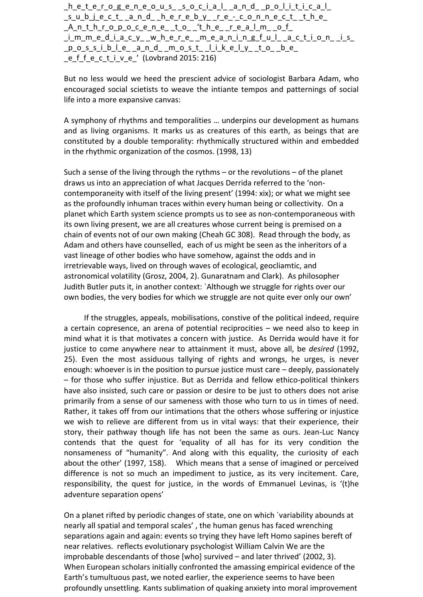$h_e$ terogeneous social and political \_s\_u\_b\_j\_e\_c\_t\_ \_a\_n\_d\_ \_h\_e\_r\_e\_b\_y\_ \_r\_e\_-\_c\_o\_n\_n\_e\_c\_t\_ \_t\_h\_e\_  $\label{eq:1} \begin{array}{lll} \textit{A\_n\_t\_h\_c\_p\_o\_c\_e\_n\_e\_t\_o\_{'t\_h\_e\_r\_e\_a\_l\_m\_o\_f\_}} \end{array}$ \_i\_m\_m\_e\_d\_i\_a\_c\_y\_ \_w\_h\_e\_r\_e\_ \_m\_e\_a\_n\_i\_n\_g\_f\_u\_l\_ \_a\_c\_t\_i\_o\_n\_ \_i\_s\_  $p$  ossible and most likely to be e f f e c t i v e ' (Lovbrand 2015: 216)

But no less would we heed the prescient advice of sociologist Barbara Adam, who encouraged social scietists to weave the intiante tempos and patternings of social life into a more expansive canvas:

A symphony of rhythms and temporalities … underpins our development as humans and as living organisms. It marks us as creatures of this earth, as beings that are constituted by a double temporality: rhythmically structured within and embedded in the rhythmic organization of the cosmos. (1998, 13)

Such a sense of the living through the rythms – or the revolutions – of the planet draws us into an appreciation of what Jacques Derrida referred to the 'noncontemporaneity with itself of the living present' (1994: xix); or what we might see as the profoundly inhuman traces within every human being or collectivity. On a planet which Earth system science prompts us to see as non-contemporaneous with its own living present, we are all creatures whose current being is premised on a chain of events not of our own making (Cheah GC 308). Read through the body, as Adam and others have counselled, each of us might be seen as the inheritors of a vast lineage of other bodies who have somehow, against the odds and in irretrievable ways, lived on through waves of ecological, geocliamtic, and astronomical volatility (Grosz, 2004, 2). Gunaratnam and Clark). As philosopher Judith Butler puts it, in another context: `Although we struggle for rights over our own bodies, the very bodies for which we struggle are not quite ever only our own'

If the struggles, appeals, mobilisations, constive of the political indeed, require a certain copresence, an arena of potential reciprocities – we need also to keep in mind what it is that motivates a concern with justice. As Derrida would have it for justice to come anywhere near to attainment it must, above all, be *desired* (1992, 25). Even the most assiduous tallying of rights and wrongs, he urges, is never enough: whoever is in the position to pursue justice must care – deeply, passionately – for those who suffer injustice. But as Derrida and fellow ethico-political thinkers have also insisted, such care or passion or desire to be just to others does not arise primarily from a sense of our sameness with those who turn to us in times of need. Rather, it takes off from our intimations that the others whose suffering or injustice we wish to relieve are different from us in vital ways: that their experience, their story, their pathway though life has not been the same as ours. Jean-Luc Nancy contends that the quest for 'equality of all has for its very condition the nonsameness of "humanity". And along with this equality, the curiosity of each about the other' (1997, 158). Which means that a sense of imagined or perceived difference is not so much an impediment to justice, as its very incitement. Care, responsibility, the quest for justice, in the words of Emmanuel Levinas, is '(t)he adventure separation opens'

On a planet rifted by periodic changes of state, one on which `variability abounds at nearly all spatial and temporal scales' , the human genus has faced wrenching separations again and again: events so trying they have left Homo sapines bereft of near relatives. reflects evolutionary psychologist William Calvin We are the improbable descendants of those [who] survived – and later thrived' (2002, 3). When European scholars initially confronted the amassing empirical evidence of the Earth's tumultuous past, we noted earlier, the experience seems to have been profoundly unsettling. Kants sublimation of quaking anxiety into moral improvement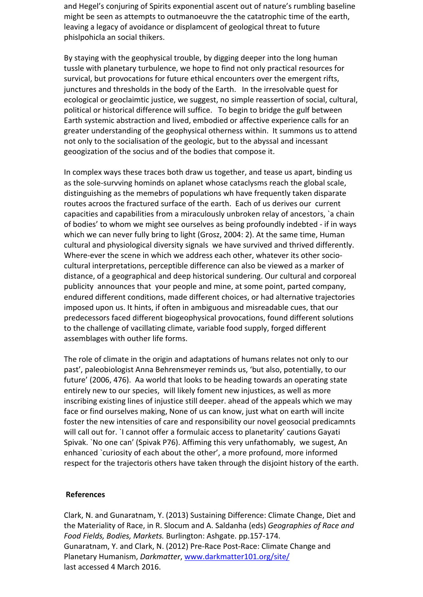and Hegel's conjuring of Spirits exponential ascent out of nature's rumbling baseline might be seen as attempts to outmanoeuvre the the catatrophic time of the earth, leaving a legacy of avoidance or displamcent of geological threat to future phislpohicla an social thikers.

By staying with the geophysical trouble, by digging deeper into the long human tussle with planetary turbulence, we hope to find not only practical resources for survical, but provocations for future ethical encounters over the emergent rifts, junctures and thresholds in the body of the Earth. In the irresolvable quest for ecological or geoclaimtic justice, we suggest, no simple reassertion of social, cultural, political or historical difference will suffice. To begin to bridge the gulf between Earth systemic abstraction and lived, embodied or affective experience calls for an greater understanding of the geophysical otherness within. It summons us to attend not only to the socialisation of the geologic, but to the abyssal and incessant geoogization of the socius and of the bodies that compose it.

In complex ways these traces both draw us together, and tease us apart, binding us as the sole-survving hominds on aplanet whose cataclysms reach the global scale, distinguishing as the memebrs of populations wh have frequently taken disparate routes acroos the fractured surface of the earth. Each of us derives our current capacities and capabilities from a miraculously unbroken relay of ancestors, `a chain of bodies' to whom we might see ourselves as being profoundly indebted - if in ways which we can never fully bring to light (Grosz, 2004: 2). At the same time, Human cultural and physiological diversity signals we have survived and thrived differently. Where-ever the scene in which we address each other, whatever its other sociocultural interpretations, perceptible difference can also be viewed as a marker of distance, of a geographical and deep historical sundering. Our cultural and corporeal publicity announces that your people and mine, at some point, parted company, endured different conditions, made different choices, or had alternative trajectories imposed upon us. It hints, if often in ambiguous and misreadable cues, that our predecessors faced different biogeophysical provocations, found different solutions to the challenge of vacillating climate, variable food supply, forged different assemblages with outher life forms.

The role of climate in the origin and adaptations of humans relates not only to our past', paleobiologist Anna Behrensmeyer reminds us, 'but also, potentially, to our future' (2006, 476). Aa world that looks to be heading towards an operating state entirely new to our species, will likely foment new injustices, as well as more inscribing existing lines of injustice still deeper. ahead of the appeals which we may face or find ourselves making, None of us can know, just what on earth will incite foster the new intensities of care and responsibility our novel geosocial predicamnts will call out for. `I cannot offer a formulaic access to planetarity' cautions Gayati Spivak. `No one can' (Spivak P76). Affiming this very unfathomably, we sugest, An enhanced `curiosity of each about the other', a more profound, more informed respect for the trajectoris others have taken through the disjoint history of the earth.

### **References**

Clark, N. and Gunaratnam, Y. (2013) Sustaining Difference: Climate Change, Diet and the Materiality of Race, in R. Slocum and A. Saldanha (eds) *Geographies of Race and Food Fields, Bodies, Markets.* Burlington: Ashgate. pp.157-174. Gunaratnam, Y. and Clark, N. (2012) Pre-Race Post-Race: Climate Change and Planetary Humanism, *Darkmatter*, [www.darkmatter101.org/site/](http://www.darkmatter101.org/site/) last accessed 4 March 2016.